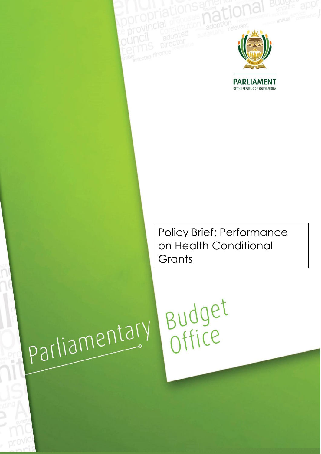

<span id="page-0-0"></span>**PARLIAMENT** OF THE REPUBLIC OF SOUTH AFRICA

Policy Brief: Performance on Health Conditional **Grants** 

# parliamentary

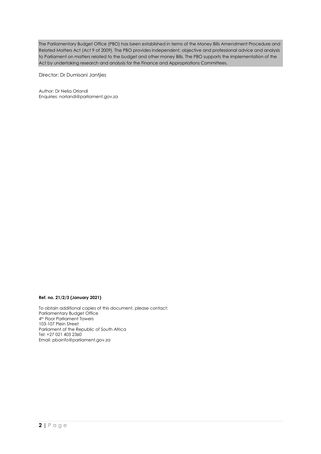The Parliamentary Budget Office (PBO) has been established in terms of the Money Bills Amendment Procedure and Related Matters Act (Act 9 of 2009). The PBO provides independent, objective and professional advice and analysis to Parliament on matters related to the budget and other money Bills. The PBO supports the implementation of the Act by undertaking research and analysis for the Finance and Appropriations Committees.

Director: Dr Dumisani Jantjies

Author: Dr Nelia Orlandi Enquiries: [norlandi@parliament.gov.za](mailto:norlandi@parliament.gov.za)

### **Ref. no. 21/2/3 (January 2021)**

To obtain additional copies of this document, please contact: Parliamentary Budget Office 4<sup>th</sup> Floor Parliament Towers 103-107 Plein Street Parliament of the Republic of South Africa Tel: +27 021 403 2360 Email: [pboinfo@parliament.gov.za](mailto:pboinfo@parliament.gov.za)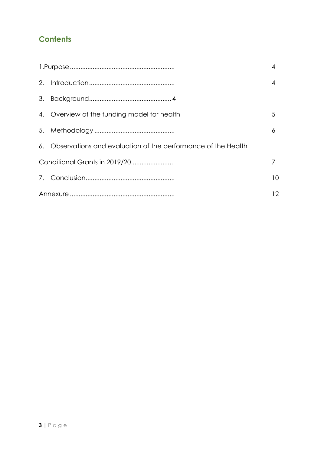# **Contents**

|    |                                                                 | 4  |
|----|-----------------------------------------------------------------|----|
| 2. |                                                                 | 4  |
|    |                                                                 |    |
|    | 4. Overview of the funding model for health                     | 5  |
|    |                                                                 | 6  |
|    | 6. Observations and evaluation of the performance of the Health |    |
|    |                                                                 |    |
|    |                                                                 | 10 |
|    |                                                                 | 12 |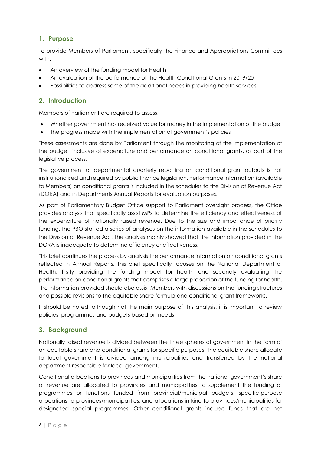# **1. Purpose**

To provide Members of Parliament, specifically the Finance and Appropriations Committees with:

- An overview of the funding model for Health
- An evaluation of the performance of the Health Conditional Grants in 2019/20
- Possibilities to address some of the additional needs in providing health services

# <span id="page-3-0"></span>**2. Introduction**

Members of Parliament are required to assess:

- Whether government has received value for money in the implementation of the budget
- The progress made with the implementation of government's policies

These assessments are done by Parliament through the monitoring of the implementation of the budget, inclusive of expenditure and performance on conditional grants, as part of the legislative process.

The government or departmental quarterly reporting on conditional grant outputs is not institutionalised and required by public finance legislation. Performance information (available to Members) on conditional grants is included in the schedules to the Division of Revenue Act (DORA) and in Departments Annual Reports for evaluation purposes.

As part of Parliamentary Budget Office support to Parliament oversight process, the Office provides analysis that specifically assist MPs to determine the efficiency and effectiveness of the expenditure of nationally raised revenue. Due to the size and importance of priority funding, the PBO started a series of analyses on the information available in the schedules to the Division of Revenue Act. The analysis mainly showed that the information provided in the DORA is inadequate to determine efficiency or effectiveness.

This brief continues the process by analysis the performance information on conditional grants reflected in Annual Reports. This brief specifically focuses on the National Department of Health, firstly providing the funding model for health and secondly evaluating the performance on conditional grants that comprises a large proportion of the funding for health. The information provided should also assist Members with discussions on the funding structures and possible revisions to the equitable share formula and conditional grant frameworks.

It should be noted, although not the main purpose of this analysis, it is important to review policies, programmes and budgets based on needs.

# <span id="page-3-1"></span>**3. Background**

Nationally raised revenue is divided between the three spheres of government in the form of an equitable share and conditional grants for specific purposes. The equitable share allocate to local government is divided among municipalities and transferred by the national department responsible for local government.

Conditional allocations to provinces and municipalities from the national government's share of revenue are allocated to provinces and municipalities to supplement the funding of programmes or functions funded from provincial/municipal budgets; specific-purpose allocations to provinces/municipalities; and allocations-in-kind to provinces/municipalities for designated special programmes. Other conditional grants include funds that are not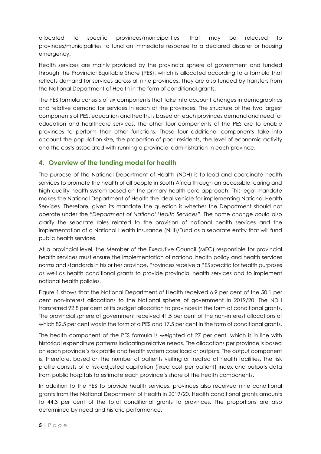allocated to specific provinces/municipalities, that may be released to provinces/municipalities to fund an immediate response to a declared disaster or housing emergency.

Health services are mainly provided by the provincial sphere of government and funded through the Provincial Equitable Share (PES), which is allocated according to a formula that reflects demand for services across all nine provinces. They are also funded by transfers from the National Department of Health in the form of conditional grants.

The PES formula consists of six components that take into account changes in demographics and relative demand for services in each of the provinces. The structure of the two largest components of PES, education and health, is based on each provinces demand and need for education and healthcare services. The other four components of the PES are to enable provinces to perform their other functions. These four additional components take into account the population size, the proportion of poor residents, the level of economic activity and the costs associated with running a provincial administration in each province.

# <span id="page-4-0"></span>**4. Overview of the funding model for health**

The purpose of the National Department of Health (NDH) is to lead and coordinate health services to promote the health of all people in South Africa through an accessible, caring and high quality health system based on the primary health care approach. This legal mandate makes the National Department of Health the ideal vehicle for implementing National Health Services. Therefore, given its mandate the question is whether the Department should not operate under the *"Department of National Health Services"*. The name change could also clarify the separate roles related to the provision of national health services and the implementation of a National Health Insurance (NHI)/Fund as a separate entity that will fund public health services.

At a provincial level, the Member of the Executive Council (MEC) responsible for provincial health services must ensure the implementation of national health policy and health services norms and standards in his or her province. Provinces receive a PES specific for health purposes as well as health conditional grants to provide provincial health services and to implement national health policies.

Figure 1 shows that the National Department of Health received 6.9 per cent of the 50.1 per cent non-interest allocations to the National sphere of government in 2019/20. The NDH transferred 92.8 per cent of its budget allocation to provinces in the form of conditional grants. The provincial sphere of government received 41.5 per cent of the non-interest allocations of which 82.5 per cent was in the form of a PES and 17.5 per cent in the form of conditional grants.

The health component of the PES formula is weighted at 27 per cent, which is in line with historical expenditure patterns indicating relative needs. The allocations per province is based on each province's risk profile and health system case load or outputs. The output component is, therefore, based on the number of patients visiting or treated at health facilities. The risk profile consists of a risk-adjusted capitation (fixed cost per patient) index and outputs data from public hospitals to estimate each province's share of the health components.

In addition to the PES to provide health services, provinces also received nine conditional grants from the National Department of Health in 2019/20. Health conditional grants amounts to 44.3 per cent of the total conditional grants to provinces. The proportions are also determined by need and historic performance.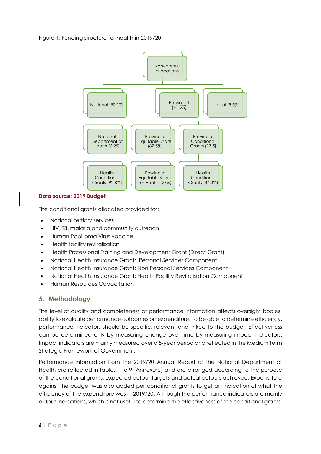### Figure 1: Funding structure for health in 2019/20



### **Data source: 2019 Budget**

The conditional grants allocated provided for:

- National tertiary services
- HIV, TB, malaria and community outreach
- Human Papilloma Virus vaccine
- Health facility revitalisation
- Health Professional Training and Development Grant (Direct Grant)
- National Health Insurance Grant: Personal Services Component
- National Health Insurance Grant: Non Personal Services Component
- National Health Insurance Grant: Health Facility Revitalisation Component
- Human Resources Capacitation

# <span id="page-5-0"></span>**5. Methodology**

The level of quality and completeness of performance information affects oversight bodies' ability to evaluate performance outcomes on expenditure. To be able to determine efficiency, performance indicators should be specific, relevant and linked to the budget. Effectiveness can be determined only by measuring change over time by measuring impact indicators. Impact indicators are mainly measured over a 5-year period and reflected in the Medium Term Strategic Framework of Government.

Performance information from the 2019/20 Annual Report of the National Department of Health are reflected in tables 1 to 9 (Annexure) and are arranged according to the purpose of the conditional grants, expected output targets and actual outputs achieved. Expenditure against the budget was also added per conditional grants to get an indication of what the efficiency of the expenditure was in 2019/20. Although the performance indicators are mainly output indications, which is not useful to determine the effectiveness of the conditional grants,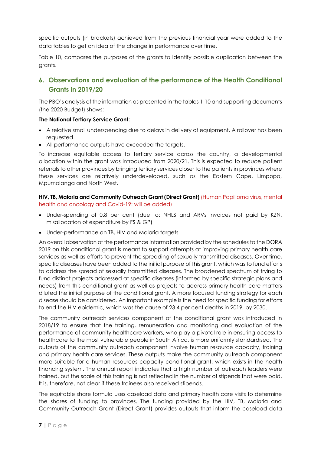specific outputs (in brackets) achieved from the previous financial year were added to the data tables to get an idea of the change in performance over time.

Table 10, compares the purposes of the grants to identify possible duplication between the grants.

# <span id="page-6-0"></span>**6. Observations and evaluation of the performance of the Health Conditional Grants in 2019/20**

The PBO's analysis of the information as presented in the tables 1-10 and supporting documents (the 2020 Budget) shows:

### **The National Tertiary Service Grant:**

- A relative small underspending due to delays in delivery of equipment. A rollover has been requested.
- All performance outputs have exceeded the targets.

To increase equitable access to tertiary service across the country, a developmental allocation within the grant was introduced from 2020/21. This is expected to reduce patient referrals to other provinces by bringing tertiary services closer to the patients in provinces where these services are relatively underdeveloped, such as the Eastern Cape, Limpopo, Mpumalanga and North West.

**HIV, TB, Malaria and Community Outreach Grant (Direct Grant)** (Human Papilloma virus, mental health and oncology and Covid-19: will be added)

- Under-spending of 0.8 per cent (due to: NHLS and ARVs invoices not paid by KZN, misallocation of expenditure by FS & GP)
- Under-performance on TB, HIV and Malaria targets

An overall observation of the performance information provided by the schedules to the DORA 2019 on this conditional grant is meant to support attempts at improving primary health care services as well as efforts to prevent the spreading of sexually transmitted diseases. Over time, specific diseases have been added to the initial purpose of this grant, which was to fund efforts to address the spread of sexually transmitted diseases. The broadened spectrum of trying to fund distinct projects addressed at specific diseases (informed by specific strategic plans and needs) from this conditional grant as well as projects to address primary health care matters diluted the initial purpose of the conditional grant. A more focused funding strategy for each disease should be considered. An important example is the need for specific funding for efforts to end the HIV epidemic, which was the cause of 23.4 per cent deaths in 2019, by 2030.

The community outreach services component of the conditional grant was introduced in 2018/19 to ensure that the training, remuneration and monitoring and evaluation of the performance of community healthcare workers, who play a pivotal role in ensuring access to healthcare to the most vulnerable people in South Africa, is more uniformly standardised. The outputs of the community outreach component involve human resource capacity, training and primary health care services. These outputs make the community outreach component more suitable for a human resources capacity conditional grant, which exists in the health financing system. The annual report indicates that a high number of outreach leaders were trained, but the scale of this training is not reflected in the number of stipends that were paid. It is, therefore, not clear if these trainees also received stipends.

The equitable share formula uses caseload data and primary health care visits to determine the shares of funding to provinces. The funding provided by the HIV, TB, Malaria and Community Outreach Grant (Direct Grant) provides outputs that inform the caseload data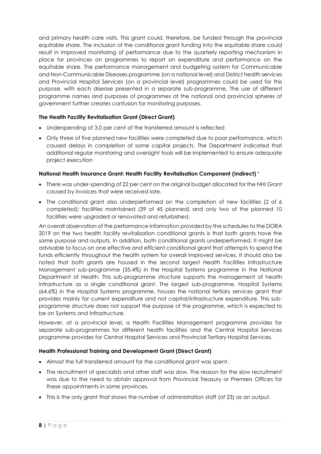and primary health care visits. This grant could, therefore, be funded through the provincial equitable share. The inclusion of the conditional grant funding into the equitable share could result in improved monitoring of performance due to the quarterly reporting mechanism in place for provinces on programmes to report on expenditure and performance on the equitable share. The performance management and budgeting system for Communicable and Non-Communicable Diseases programme (on a national level) and District health services and Provincial Hospital Services (on a provincial level) programmes could be used for this purpose, with each disease presented in a separate sub-programme. The use of different programme names and purposes of programmes at the national and provincial spheres of government further creates confusion for monitoring purposes.

### **The Health Facility Revitalisation Grant (Direct Grant)**

- Underspending of 3.0 per cent of the transferred amount is reflected
- Only three of five planned new facilities were completed due to poor performance, which caused delays in completion of some capital projects. The Department indicated that additional regular monitoring and oversight tools will be implemented to ensure adequate project execution

### **National Health Insurance Grant: Health Facility Revitalisation Component (Indirect) \***

- There was under-spending of 22 per cent on the original budget allocated for the NHI Grant caused by invoices that were received late.
- The conditional grant also underperformed on the completion of new facilities (2 of 6) completed); facilities maintained (39 of 45 planned) and only two of the planned 10 facilities were upgraded or renovated and refurbished.

An overall observation of the performance information provided by the schedules to the DORA 2019 on the two health facility revitalisation conditional grants is that both grants have the same purpose and outputs. In addition, both conditional grants underperformed. It might be advisable to focus on one effective and efficient conditional grant that attempts to spend the funds efficiently throughout the health system for overall improved services. It should also be noted that both grants are housed in the second largest Health Facilities Infrastructure Management sub-programme (35.4%) in the Hospital Systems programme in the National Department of Health. This sub-programme structure supports the management of health infrastructure as a single conditional grant. The largest sub-programme, Hospital Systems (64.6%) in the Hospital Systems programme, houses the national tertiary services grant that provides mainly for current expenditure and not capital/infrastructure expenditure. This subprogramme structure does not support the purpose of the programme, which is expected to be on Systems and Infrastructure.

However, at a provincial level, a Health Facilities Management programme provides for separate sub-programmes for different health facilities and the Central Hospital Services programme provides for Central Hospital Services and Provincial Tertiary Hospital Services.

### **Health Professional Training and Development Grant (Direct Grant)**

- Almost the full transferred amount for the conditional grant was spent.
- The recruitment of specialists and other staff was slow. The reason for the slow recruitment was due to the need to obtain approval from Provincial Treasury or Premiers Offices for these appointments in some provinces.
- This is the only grant that shows the number of administration staff (of 23) as an output.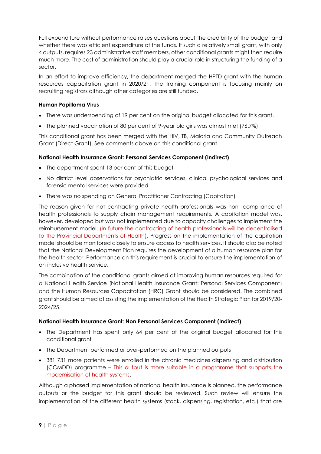Full expenditure without performance raises questions about the credibility of the budget and whether there was efficient expenditure of the funds. If such a relatively small grant, with only 4 outputs, requires 23 administrative staff members, other conditional grants might then require much more. The cost of administration should play a crucial role in structuring the funding of a sector.

In an effort to improve efficiency, the department merged the HPTD grant with the human resources capacitation grant in 2020/21. The training component is focusing mainly on recruiting registrars although other categories are still funded.

### **Human Papilloma Virus**

- There was underspending of 19 per cent on the original budget allocated for this grant.
- The planned vaccination of 80 per cent of 9-year old girls was almost met (76.7%)

This conditional grant has been merged with the HIV, TB, Malaria and Community Outreach Grant (Direct Grant). See comments above on this conditional grant.

### **National Health Insurance Grant: Personal Services Component (Indirect)**

- The department spent 13 per cent of this budget
- No district level observations for psychiatric services, clinical psychological services and forensic mental services were provided
- There was no spending on General Practitioner Contracting (Capitation)

The reason given for not contracting private health professionals was non- compliance of health professionals to supply chain management requirements. A capitation model was, however, developed but was not implemented due to capacity challenges to implement the reimbursement model. (In future the contracting of health professionals will be decentralised to the Provincial Departments of Health). Progress on the implementation of the capitation model should be monitored closely to ensure access to health services. It should also be noted that the National Development Plan requires the development of a human resource plan for the health sector. Performance on this requirement is crucial to ensure the implementation of an inclusive health service.

The combination of the conditional grants aimed at improving human resources required for a National Health Service (National Health Insurance Grant: Personal Services Component) and the Human Resources Capacitation (HRC) Grant should be considered. The combined grant should be aimed at assisting the implementation of the Health Strategic Plan for 2019/20- 2024/25.

### **National Health Insurance Grant: Non Personal Services Component (Indirect)**

- The Department has spent only 64 per cent of the original budget allocated for this conditional grant
- The Department performed or over-performed on the planned outputs
- 381 731 more patients were enrolled in the chronic medicines dispensing and distribution (CCMDD) programme – This output is more suitable in a programme that supports the modernisation of health systems.

Although a phased implementation of national health insurance is planned, the performance outputs or the budget for this grant should be reviewed. Such review will ensure the implementation of the different health systems (stock, dispensing, registration, etc.) that are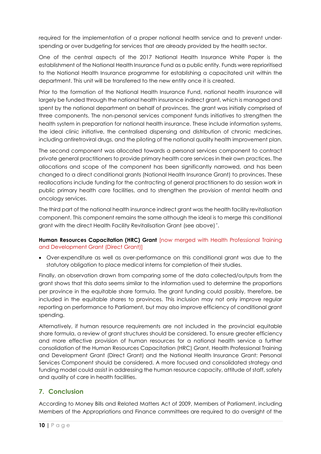required for the implementation of a proper national health service and to prevent underspending or over budgeting for services that are already provided by the health sector.

One of the central aspects of the 2017 National Health Insurance White Paper is the establishment of the National Health Insurance Fund as a public entity. Funds were reprioritised to the National Health Insurance programme for establishing a capacitated unit within the department. This unit will be transferred to the new entity once it is created.

Prior to the formation of the National Health Insurance Fund, national health insurance will largely be funded through the national health insurance indirect grant, which is managed and spent by the national department on behalf of provinces. The grant was initially comprised of three components. The non‐personal services component funds initiatives to strengthen the health system in preparation for national health insurance. These include information systems, the ideal clinic initiative, the centralised dispensing and distribution of chronic medicines, including antiretroviral drugs, and the piloting of the national quality health improvement plan.

The second component was allocated towards a personal services component to contract private general practitioners to provide primary health care services in their own practices. The allocations and scope of the component has been significantly narrowed, and has been changed to a direct conditional grants (National Health Insurance Grant) to provinces. These reallocations include funding for the contracting of general practitioners to do session work in public primary health care facilities, and to strengthen the provision of mental health and oncology services.

The third part of the national health insurance indirect grant was the health facility revitalisation component. This component remains the same although the ideal is to merge this conditional grant with the direct Health Facility Revitalisation Grant (see above) \* .

### **Human Resources Capacitation (HRC) Grant** [now merged with Health Professional Training and Development Grant (Direct Grant)]

 Over-expenditure as well as over-performance on this conditional grant was due to the statutory obligation to place medical interns for completion of their studies.

Finally, an observation drawn from comparing some of the data collected/outputs from the grant shows that this data seems similar to the information used to determine the proportions per province in the equitable share formula. The grant funding could possibly, therefore, be included in the equitable shares to provinces. This inclusion may not only improve regular reporting on performance to Parliament, but may also improve efficiency of conditional grant spending.

Alternatively, if human resource requirements are not included in the provincial equitable share formula, a review of grant structures should be considered. To ensure greater efficiency and more effective provision of human resources for a national health service a further consolidation of the Human Resources Capacitation (HRC) Grant, Health Professional Training and Development Grant (Direct Grant) and the National Health Insurance Grant: Personal Services Component should be considered. A more focused and consolidated strategy and funding model could assist in addressing the human resource capacity, attitude of staff, safety and quality of care in health facilities.

# <span id="page-9-0"></span>**7. Conclusion**

According to Money Bills and Related Matters Act of 2009, Members of Parliament, including Members of the Appropriations and Finance committees are required to do oversight of the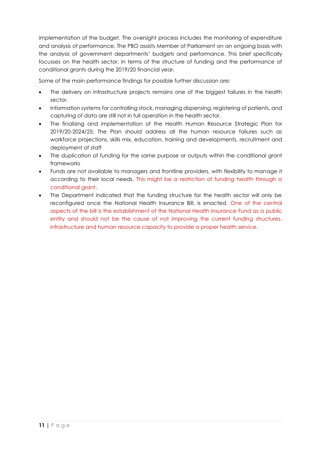implementation of the budget. The oversight process includes the monitoring of expenditure and analysis of performance. The PBO assists Member of Parliament on an ongoing basis with the analysis of government departments' budgets and performance. This brief specifically focusses on the health sector, in terms of the structure of funding and the performance of conditional grants during the 2019/20 financial year.

Some of the main performance findings for possible further discussion are:

- The delivery on infrastructure projects remains one of the biggest failures in the health sector.
- Information systems for controlling stock, managing dispensing, registering of patients, and capturing of data are still not in full operation in the health sector.
- The finalising and implementation of the Health Human Resource Strategic Plan for 2019/20-2024/25: The Plan should address all the human resource failures such as workforce projections, skills mix, education, training and developments, recruitment and deployment of staff
- The duplication of funding for the same purpose or outputs within the conditional grant frameworks
- Funds are not available to managers and frontline providers, with flexibility to manage it according to their local needs. This might be a restriction of funding health through a conditional grant.
- The Department indicated that the funding structure for the health sector will only be reconfigured once the National Health Insurance Bill, is enacted. One of the central aspects of the bill is the establishment of the National Health Insurance Fund as a public entity and should not be the cause of not improving the current funding structures, infrastructure and human resource capacity to provide a proper health service.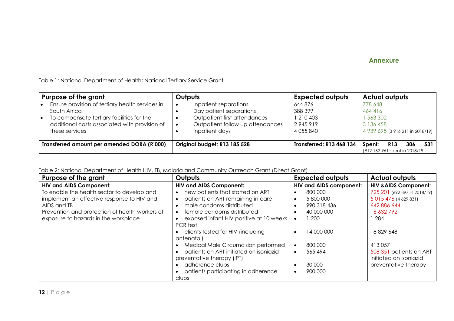### <span id="page-11-0"></span>**Annexure**

Table 1: National Department of Health**:** National Tertiary Service Grant

| Purpose of the grant                        |                                                                                                                                                                                 | Outputs                                                                                                                                             | <b>Expected outputs</b>                                     | <b>Actual outputs</b>                                                            |
|---------------------------------------------|---------------------------------------------------------------------------------------------------------------------------------------------------------------------------------|-----------------------------------------------------------------------------------------------------------------------------------------------------|-------------------------------------------------------------|----------------------------------------------------------------------------------|
| ∣∙<br>I۰                                    | Ensure provision of tertiary health services in<br>South Africa<br>To compensate tertiary facilities for the<br>additional costs associated with provision of<br>these services | Inpatient separations<br>$\bullet$<br>Day patient separations<br>Outpatient first attendances<br>Outpatient follow up attendances<br>Inpatient days | 644 876<br>388 399<br>1 210 403<br>2945919<br>4 0 5 5 8 4 0 | 778 648<br>464 416<br>1 563 302<br>3 136 458<br>4 939 695 (3 916 211 in 2018/19) |
| Transferred amount per amended DORA (R'000) |                                                                                                                                                                                 | Original budget: R13 185 528                                                                                                                        | <b>Transferred: R13 468 134</b>                             | 531<br>R <sub>13</sub><br>306<br>Spent:<br>(R12 162 961 spent in 2018/19)        |

Table 2: National Department of Health HIV, TB, Malaria and Community Outreach Grant (Direct Grant)

| Purpose of the grant                           | Outputs                                 | <b>Expected outputs</b>        | <b>Actual outputs</b>            |
|------------------------------------------------|-----------------------------------------|--------------------------------|----------------------------------|
| <b>HIV and AIDS Component:</b>                 | <b>HIV and AIDS Component:</b>          | <b>HIV and AIDS component:</b> | <b>HIV &amp; AIDS Component:</b> |
| To enable the health sector to develop and     | new patients that started on ART        | 800 000                        | 725 201 (692 397 in 2018/19)     |
| implement an effective response to HIV and     | patients on ART remaining in care       | 5 800 000<br>$\bullet$         | 5 015 476 (4 629 831)            |
| AIDS and TB                                    | male condoms distributed                | 990 318 436<br>$\bullet$       | 642 886 644                      |
| Prevention and protection of health workers of | female condoms distributed              | 40 000 000                     | 16 632 792                       |
| exposure to hazards in the workplace           | exposed infant HIV positive at 10 weeks | 200                            | 1 284                            |
|                                                | PCR test                                |                                |                                  |
|                                                | clients tested for HIV (including       | 14 000 000                     | 18829648                         |
|                                                | antenatal)                              |                                |                                  |
|                                                | Medical Male Circumcision performed     | 800 000<br>$\bullet$           | 413057                           |
|                                                | patients on ART initiated on isoniazid  | 565 494<br>$\bullet$           | 508 351 patients on ART          |
|                                                | preventative therapy (IPT)              |                                | initiated on isoniazid           |
|                                                | adherence clubs                         | 30 000                         | preventative therapy             |
|                                                | patients participating in adherence     | 900 000                        |                                  |
|                                                | clubs                                   |                                |                                  |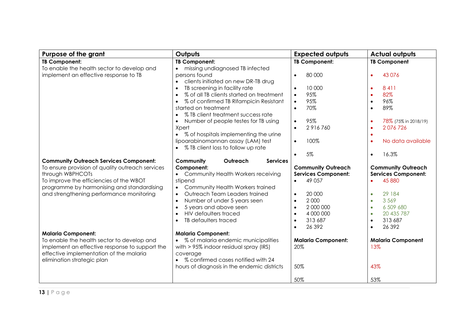| <b>Purpose of the grant</b>                                                                                                                                                                                                                                | Outputs                                                                                                                                                                                                                                                                                                                                              | <b>Expected outputs</b>                                                                                                                                                                                  | <b>Actual outputs</b>                                                                                                                                                                                               |
|------------------------------------------------------------------------------------------------------------------------------------------------------------------------------------------------------------------------------------------------------------|------------------------------------------------------------------------------------------------------------------------------------------------------------------------------------------------------------------------------------------------------------------------------------------------------------------------------------------------------|----------------------------------------------------------------------------------------------------------------------------------------------------------------------------------------------------------|---------------------------------------------------------------------------------------------------------------------------------------------------------------------------------------------------------------------|
| <b>TB Component:</b>                                                                                                                                                                                                                                       | <b>TB Component:</b>                                                                                                                                                                                                                                                                                                                                 | <b>TB Component:</b>                                                                                                                                                                                     | <b>TB Component</b>                                                                                                                                                                                                 |
| To enable the health sector to develop and<br>implement an effective response to TB                                                                                                                                                                        | missing undiagnosed TB infected<br>persons found<br>clients initiated on new DR-TB drug<br>$\bullet$                                                                                                                                                                                                                                                 | 80 000                                                                                                                                                                                                   | 43 0 76                                                                                                                                                                                                             |
|                                                                                                                                                                                                                                                            | TB screening in facility rate<br>$\bullet$<br>% of all TB clients started on treatment<br>$\bullet$<br>% of confirmed TB Rifampicin Resistant<br>$\bullet$<br>started on treatment<br>% TB client treatment success rate<br>Number of people testes for TB using                                                                                     | 10 000<br>$\bullet$<br>95%<br>$\bullet$<br>95%<br>$\bullet$<br>70%<br>$\bullet$<br>95%<br>$\bullet$                                                                                                      | 8411<br>82%<br>$\bullet$<br>96%<br>$\bullet$<br>89%<br>$\bullet$<br>78% (75% in 2018/19)<br>$\bullet$                                                                                                               |
|                                                                                                                                                                                                                                                            | Xpert<br>• % of hospitals implementing the urine<br>lipoarabinomannan assay (LAM) test<br>• % TB client loss to follow up rate                                                                                                                                                                                                                       | 2916760<br>$\bullet$<br>100%<br>$\bullet$                                                                                                                                                                | 2076726<br>$\bullet$<br>$\bullet$<br>No data available<br>$\bullet$                                                                                                                                                 |
|                                                                                                                                                                                                                                                            |                                                                                                                                                                                                                                                                                                                                                      | 5%                                                                                                                                                                                                       | 16.3%<br>$\bullet$                                                                                                                                                                                                  |
| <b>Community Outreach Services Component:</b><br>To ensure provision of quality outreach services<br>through WBPHCOTs<br>To improve the efficiencies of the WBOT<br>programme by harmonising and standardising<br>and strengthening performance monitoring | Outreach<br>Community<br><b>Services</b><br>Component:<br>• Community Health Workers receiving<br>stipend<br>Community Health Workers trained<br>Outreach Team Leaders trained<br>$\bullet$<br>Number of under 5 years seen<br>$\bullet$<br>5 years and above seen<br>$\bullet$<br><b>HIV defaulters traced</b><br>TB defaulters traced<br>$\bullet$ | <b>Community Outreach</b><br><b>Services Component:</b><br>49 0 57<br>20 000<br>$\bullet$<br>2 0 0 0<br>$\bullet$<br>2 000 000<br>$\bullet$<br>4 000 000<br>$\bullet$<br>313 687<br>$\bullet$<br>26 39 2 | <b>Community Outreach</b><br><b>Services Component:</b><br>45 880<br>29 184<br>$\bullet$<br>3569<br>$\bullet$<br>6 509 680<br>$\bullet$<br>20 435 787<br>$\bullet$<br>313 687<br>$\bullet$<br>26 3 9 2<br>$\bullet$ |
| <b>Malaria Component:</b><br>To enable the health sector to develop and<br>implement an effective response to support the<br>effective implementation of the malaria<br>elimination strategic plan                                                         | <b>Malaria Component:</b><br>• % of malaria endemic municipalities<br>with $> 95\%$ indoor residual spray (IRS)<br>coverage<br>• % confirmed cases notified with 24<br>hours of diagnosis in the endemic districts                                                                                                                                   | <b>Malaria Component:</b><br>20%<br>50%<br>50%                                                                                                                                                           | <b>Malaria Component</b><br>13%<br>43%<br>53%                                                                                                                                                                       |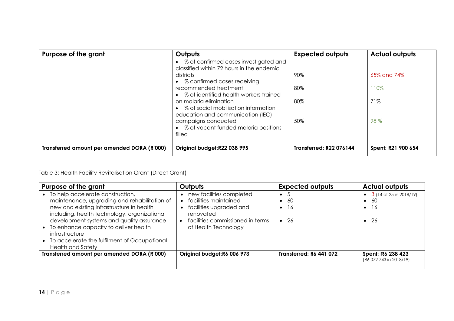| Purpose of the grant                        | Outputs                                                                                               | <b>Expected outputs</b>        | <b>Actual outputs</b> |
|---------------------------------------------|-------------------------------------------------------------------------------------------------------|--------------------------------|-----------------------|
|                                             | • % of confirmed cases investigated and<br>classified within 72 hours in the endemic                  |                                |                       |
|                                             | districts<br>• % confirmed cases receiving                                                            | 90%                            | 65% and 74%           |
|                                             | recommended treatment<br>• % of identified health workers trained                                     | 80%                            | 110%                  |
|                                             | on malaria elimination<br>• % of social mobilisation information<br>education and communication (IEC) | 80%                            | 71%                   |
|                                             | campaigns conducted<br>• % of vacant funded malaria positions<br>filled                               | 50%                            | 98%                   |
| Transferred amount per amended DORA (R'000) | Original budget:R22 038 995                                                                           | <b>Transferred: R22 076144</b> | Spent: R21 900 654    |

Table 3: Health Facility Revitalisation Grant (Direct Grant)

| Purpose of the grant                                                                                                                                                                                                                                                                                                                                         | Outputs                                                                                                                                               | <b>Expected outputs</b>                                     | <b>Actual outputs</b>                                                                        |
|--------------------------------------------------------------------------------------------------------------------------------------------------------------------------------------------------------------------------------------------------------------------------------------------------------------------------------------------------------------|-------------------------------------------------------------------------------------------------------------------------------------------------------|-------------------------------------------------------------|----------------------------------------------------------------------------------------------|
| To help accelerate construction,<br>maintenance, upgrading and rehabilitation of<br>new and existing infrastructure in health<br>including, health technology, organizational<br>development systems and quality assurance<br>To enhance capacity to deliver health<br>infrastructure<br>• To accelerate the fulfilment of Occupational<br>Health and Safety | new facilities completed<br>facilities maintained<br>facilities upgraded and<br>renovated<br>facilities commissioned in terms<br>of Health Technology | $\bullet$ 5<br>$\bullet$ 60<br>$\bullet$ 16<br>$\bullet$ 26 | 3 (14 of 25 in 2018/19)<br>$\bullet$<br>-60<br>$\bullet$<br>-16<br>$\bullet$<br>$\bullet$ 26 |
| Transferred amount per amended DORA (R'000)                                                                                                                                                                                                                                                                                                                  | Original budget: R6 006 973                                                                                                                           | <b>Transferred: R6 441 072</b>                              | Spent: R6 238 423<br>(R6 072 743 in 2018/19)                                                 |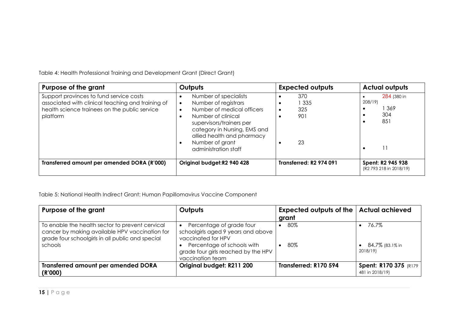Table 4: Health Professional Training and Development Grant (Direct Grant)

| Purpose of the grant                                                                                                                                      | Outputs                                                                                                                                                                                                                                             | <b>Expected outputs</b>        | <b>Actual outputs</b>                        |
|-----------------------------------------------------------------------------------------------------------------------------------------------------------|-----------------------------------------------------------------------------------------------------------------------------------------------------------------------------------------------------------------------------------------------------|--------------------------------|----------------------------------------------|
| Support provinces to fund service costs<br>associated with clinical teaching and training of<br>health science trainees on the public service<br>platform | Number of specialists<br>Number of registrars<br>$\bullet$<br>Number of medical officers<br>Number of clinical<br>supervisors/trainers per<br>category in Nursing, EMS and<br>allied health and pharmacy<br>Number of grant<br>administration staff | 370<br>335<br>325<br>901<br>23 | 284 (380 in<br>208/19)<br>369<br>304<br>851  |
| Transferred amount per amended DORA (R'000)                                                                                                               | Original budget: R2 940 428                                                                                                                                                                                                                         | <b>Transferred: R2 974 091</b> | Spent: R2 945 938<br>(R2 793 218 in 2018/19) |

Table 5: National Health Indirect Grant: Human Papillomavirus Vaccine Component

| Purpose of the grant                                                                                                                                             | Outputs                                                                                                                                                                       | Expected outputs of the   Actual achieved<br>grant |                                           |
|------------------------------------------------------------------------------------------------------------------------------------------------------------------|-------------------------------------------------------------------------------------------------------------------------------------------------------------------------------|----------------------------------------------------|-------------------------------------------|
| To enable the health sector to prevent cervical<br>cancer by making available HPV vaccination for<br>grade four schoolgirls in all public and special<br>schools | Percentage of grade four<br>schoolgirls aged 9 years and above<br>vaccinated for HPV<br>Percentage of schools with<br>grade four girls reached by the HPV<br>vaccination team | 80%<br>80%                                         | 76.7%<br>84.7% (83.1% in<br>2018/19)      |
| <b>Transferred amount per amended DORA</b><br>(R'000)                                                                                                            | Original budget: R211 200                                                                                                                                                     | Transferred: R170 594                              | Spent: R170 375 (R179)<br>481 in 2018/19) |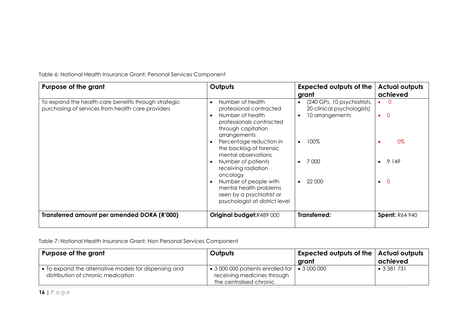| Purpose of the grant                                                                                      | Outputs                                                                                                                                                                                                                                                                                                                                                                                   | <b>Expected outputs of the</b><br>grant                                                                                                        | <b>Actual outputs</b><br>achieved                                      |
|-----------------------------------------------------------------------------------------------------------|-------------------------------------------------------------------------------------------------------------------------------------------------------------------------------------------------------------------------------------------------------------------------------------------------------------------------------------------------------------------------------------------|------------------------------------------------------------------------------------------------------------------------------------------------|------------------------------------------------------------------------|
| To expand the health care benefits through strategic<br>purchasing of services from health care providers | Number of health<br>professional contracted<br>Number of health<br>professionals contracted<br>through capitation<br>arrangements<br>Percentage reduction in<br>the backlog of forensic<br>mental observations<br>Number of patients<br>receiving radiation<br>oncology<br>Number of people with<br>mental health problems<br>seen by a psychiatrist or<br>psychologist at district level | (240 GPs, 10 psychiatrists,<br>$\bullet$<br>20 clinical psychologists)<br>10 arrangements<br>100%<br>$\bullet$<br>7 000<br>22 000<br>$\bullet$ | $\Omega$<br>$\Omega$<br>$\bullet$<br>0%<br>9 1 4 9<br>- 0<br>$\bullet$ |
| Transferred amount per amended DORA (R'000)                                                               | Original budget: R489 000                                                                                                                                                                                                                                                                                                                                                                 | Transferred:                                                                                                                                   | <b>Spent: R64 940</b>                                                  |
|                                                                                                           |                                                                                                                                                                                                                                                                                                                                                                                           |                                                                                                                                                |                                                                        |

Table 6: National Health Insurance Grant: Personal Services Component

Table 7: National Health Insurance Grant: Non Personal Services Component

| Purpose of the grant                                                                                | Outputs                                                                                                     | $\mid$ Expected outputs of the $\mid$ Actual outputs<br>grant | achieved            |
|-----------------------------------------------------------------------------------------------------|-------------------------------------------------------------------------------------------------------------|---------------------------------------------------------------|---------------------|
| $\bullet$ To expand the alternative models for dispensing and<br>distribution of chronic medication | • 3 000 000 patients enrolled for $ $ • 3 000 000<br>receiving medicines through<br>the centralised chronic |                                                               | $\bullet$ 3 381 731 |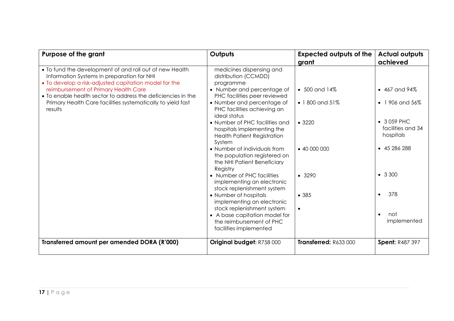| Purpose of the grant                                                                                                                                                                                                                                                                                                                             | Outputs                                                                                                                                                                                                                                                                                                                                                                                                                                                                                                                                                                                                                                                                                                   | <b>Expected outputs of the</b><br>grant                                                          | <b>Actual outputs</b><br>achieved                                                                                                                                            |
|--------------------------------------------------------------------------------------------------------------------------------------------------------------------------------------------------------------------------------------------------------------------------------------------------------------------------------------------------|-----------------------------------------------------------------------------------------------------------------------------------------------------------------------------------------------------------------------------------------------------------------------------------------------------------------------------------------------------------------------------------------------------------------------------------------------------------------------------------------------------------------------------------------------------------------------------------------------------------------------------------------------------------------------------------------------------------|--------------------------------------------------------------------------------------------------|------------------------------------------------------------------------------------------------------------------------------------------------------------------------------|
| • To fund the development of and roll out of new Health<br>Information Systems in preparation for NHI<br>• To develop a risk-adjusted capitation model for the<br>reimbursement of Primary Health Care<br>• To enable health sector to address the deficiencies in the<br>Primary Health Care facilities systematically to yield fast<br>results | medicines dispensing and<br>distribution (CCMDD)<br>programme<br>• Number and percentage of<br>PHC facilities peer reviewed<br>• Number and percentage of<br>PHC facilities achieving an<br>ideal status<br>• Number of PHC facilities and<br>hospitals implementing the<br><b>Health Patient Registration</b><br>System<br>• Number of individuals from<br>the population registered on<br>the NHI Patient Beneficiary<br>Registry<br>• Number of PHC facilities<br>implementing an electronic<br>stock replenishment system<br>• Number of hospitals<br>implementing an electronic<br>stock replenishment system<br>• A base capitation model for<br>the reimbursement of PHC<br>facilities implemented | $\bullet$ 500 and 14%<br>• 1800 and 51%<br>• 3220<br>$-40000000$<br>• 3290<br>• 385<br>$\bullet$ | $\bullet$ 467 and 94%<br>• 1 906 and $56\%$<br>• 3 059 PHC<br>facilities and 34<br>hospitals<br>$-45286288$<br>• 3300<br>378<br>$\bullet$<br>not<br>$\bullet$<br>implemented |
| Transferred amount per amended DORA (R'000)                                                                                                                                                                                                                                                                                                      | Original budget: R758 000                                                                                                                                                                                                                                                                                                                                                                                                                                                                                                                                                                                                                                                                                 | Transferred: R633000                                                                             | <b>Spent: R487 397</b>                                                                                                                                                       |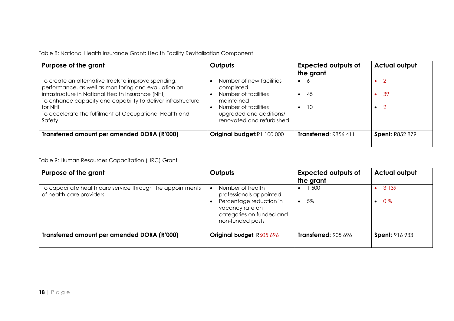Table 8: National Health Insurance Grant: Health Facility Revitalisation Component

| Purpose of the grant                                                                                                                                                                                                                                                                                             | <b>Outputs</b>                                                                                                                                              | <b>Expected outputs of</b><br>the grant | <b>Actual output</b>                  |
|------------------------------------------------------------------------------------------------------------------------------------------------------------------------------------------------------------------------------------------------------------------------------------------------------------------|-------------------------------------------------------------------------------------------------------------------------------------------------------------|-----------------------------------------|---------------------------------------|
| To create an alternative track to improve spending,<br>performance, as well as monitoring and evaluation on<br>infrastructure in National Health Insurance (NHI)<br>To enhance capacity and capability to deliver infrastructure<br>for NHI<br>To accelerate the fulfilment of Occupational Health and<br>Safety | Number of new facilities<br>completed<br>Number of facilities<br>maintained<br>Number of facilities<br>upgraded and additions/<br>renovated and refurbished | $\bullet$ 6<br>45<br><b>10</b>          | - 39<br>$\bullet$<br>- 2<br>$\bullet$ |
| Transferred amount per amended DORA (R'000)                                                                                                                                                                                                                                                                      | Original budget:R1 100 000                                                                                                                                  | Transferred: R856 411                   | <b>Spent: R852 879</b>                |

Table 9: Human Resources Capacitation (HRC) Grant

| Purpose of the grant                                                                   | Outputs                                                                                                                                   | <b>Expected outputs of</b><br>the grant | <b>Actual output</b>  |
|----------------------------------------------------------------------------------------|-------------------------------------------------------------------------------------------------------------------------------------------|-----------------------------------------|-----------------------|
| To capacitate health care service through the appointments<br>of health care providers | Number of health<br>professionals appointed<br>Percentage reduction in<br>vacancy rate on<br>categories on funded and<br>non-funded posts | 500<br>5%                               | 3 1 3 9<br>$0\%$      |
| Transferred amount per amended DORA (R'000)                                            | Original budget: R605 696                                                                                                                 | <b>Transferred: 905 696</b>             | <b>Spent: 916 933</b> |